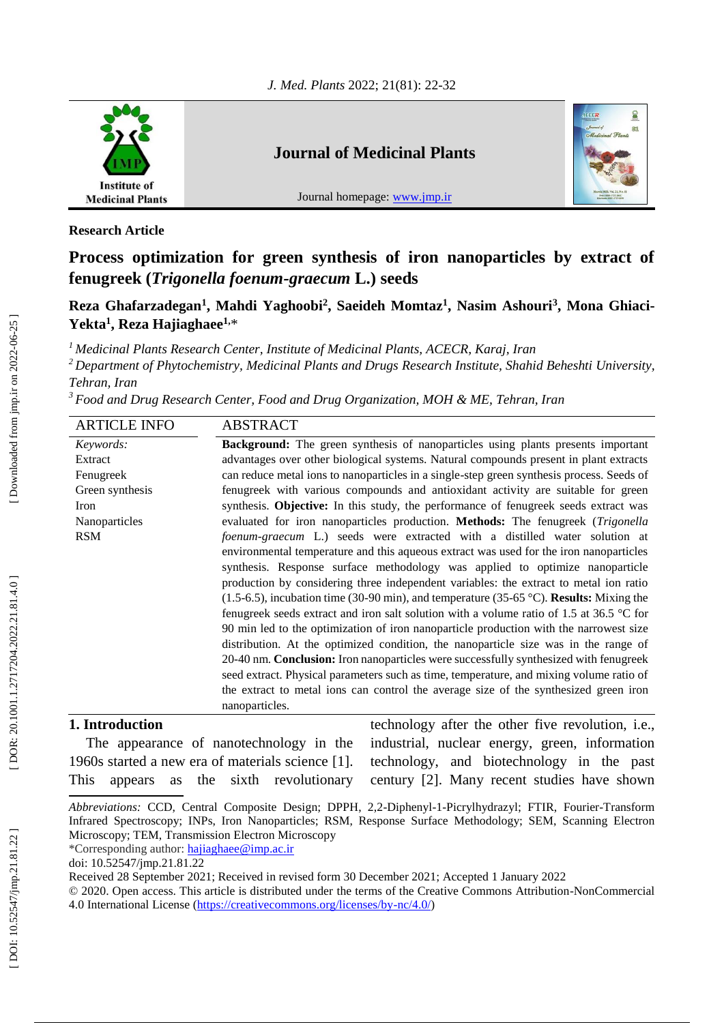

### **Journal of Medicinal Plants**

Journal homepage: [www.jmp.ir](http://www.jmp.ir/)



**Research Article**

# **Process optimization for green synthesis of iron nanoparticles by extract of fenugreek (***Trigonella foenum-graecum* **L.) seeds**

Reza Ghafarzadegan<sup>1</sup>, Mahdi Yaghoobi<sup>2</sup>, Saeideh Momtaz<sup>1</sup>, Nasim Ashouri<sup>3</sup>, Mona Ghiaci-**Yekta 1 , Reza Hajiaghaee1,** \*

*<sup>1</sup> Medicinal Plants Research Center, Institute of Medicinal Plants, ACECR, Karaj, Iran*

*<sup>2</sup>Department of Phytochemistry, Medicinal Plants and Drugs Research Institute, Shahid Beheshti University, Tehran, Iran*

*<sup>3</sup>Food and Drug Research Center, Food and Drug Organization, MOH & ME, Tehran, Iran*

| <b>ARTICLE INFO</b> | <b>ABSTRACT</b>                                                                                   |  |  |  |
|---------------------|---------------------------------------------------------------------------------------------------|--|--|--|
| Keywords:           | <b>Background:</b> The green synthesis of nanoparticles using plants presents important           |  |  |  |
| Extract             | advantages over other biological systems. Natural compounds present in plant extracts             |  |  |  |
| Fenugreek           | can reduce metal ions to nanoparticles in a single-step green synthesis process. Seeds of         |  |  |  |
| Green synthesis     | fenugreek with various compounds and antioxidant activity are suitable for green                  |  |  |  |
| Iron                | synthesis. Objective: In this study, the performance of fenugreek seeds extract was               |  |  |  |
| Nanoparticles       | evaluated for iron nanoparticles production. Methods: The fenugreek (Trigonella                   |  |  |  |
| <b>RSM</b>          | foenum-graecum L.) seeds were extracted with a distilled water solution at                        |  |  |  |
|                     | environmental temperature and this aqueous extract was used for the iron nanoparticles            |  |  |  |
|                     | synthesis. Response surface methodology was applied to optimize nanoparticle                      |  |  |  |
|                     | production by considering three independent variables: the extract to metal ion ratio             |  |  |  |
|                     | $(1.5-6.5)$ , incubation time (30-90 min), and temperature (35-65 °C). <b>Results:</b> Mixing the |  |  |  |
|                     | fenugreek seeds extract and iron salt solution with a volume ratio of 1.5 at 36.5 $\degree$ C for |  |  |  |
|                     | 90 min led to the optimization of iron nanoparticle production with the narrowest size            |  |  |  |
|                     | distribution. At the optimized condition, the nanoparticle size was in the range of               |  |  |  |
|                     | 20-40 nm. <b>Conclusion:</b> Iron nanoparticles were successfully synthesized with fenugreek      |  |  |  |
|                     | seed extract. Physical parameters such as time, temperature, and mixing volume ratio of           |  |  |  |
|                     | the extract to metal ions can control the average size of the synthesized green iron              |  |  |  |
|                     | nanoparticles.                                                                                    |  |  |  |

#### **1. Introduction**

The appearance of nanotechnology in the 1960s started a new era of materials science [1]. This appears as the sixth revolutionary technology after the other five revolution, i.e., industrial, nuclear energy, green, information technology, and biotechnology in the past century [2]. Many recent studies have shown

Received 28 September 2021; Received in revised form 30 December 2021; Accepted 1 January 2022

Abbreviations: CCD, Central Composite Design; DPPH, 2,2-Diphenyl-1-Picrylhydrazyl; FTIR, Fourier-Transform Infrared Spectroscopy; INPs, Iron Nanoparticles; RSM, Response Surface Methodology; SEM, Scanning Electron Microscopy; TEM, Transmission Electron Microscopy

<sup>\*</sup>Corresponding author: [hajiaghaee@imp.ac.ir](mailto:hajiaghaee@imp.ac.ir)

doi: 10.52547/jmp.21.81.22

<sup>© 2020.</sup> Open access. This article is distributed under the terms of the Creative Commons Attribution -NonCommercial 4.0 International License [\(https://creativecommons.org/licenses/by](https://creativecommons.org/licenses/by-nc/4.0/)-nc/4.0/)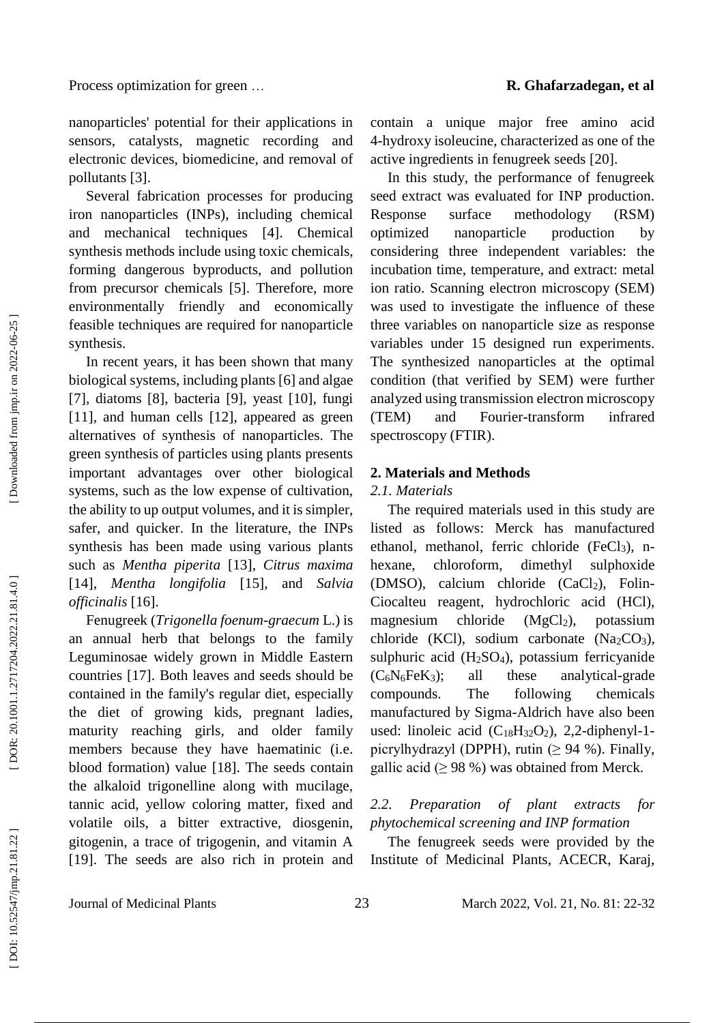nanoparticles' potential for their applications in sensors, catalysts, magnetic recording and electronic devices, biomedicine, and removal of pollutants [3] .

Several fabrication processes for producing iron nanoparticles (INPs), including chemical and mechanical techniques [4]. Chemical synthesis methods include using toxic chemicals, forming dangerous byproducts, and pollution from precursor chemicals [5]. Therefore, more environmentally friendly and economically feasible techniques are required for nanoparticle synthesis.

In recent years, it has been shown that many biological systems, including plants [6] and algae [7], diatoms [8], bacteria [9], yeast [10], fungi [11], and human cells [12], appeared as green alternatives of synthesis of nanoparticles. The green synthesis of particles using plants presents important advantages over other biological systems, such as the low expense of cultivation, the ability to up output volumes, and it is simpler, safer, and quicker. In the literature, the INPs synthesis has been made using various plants such as *Mentha piperita* [13], *Citrus maxima* [14], *Mentha longifolia* [15], and *Salvia officinalis* [16].

Fenugreek (*Trigonella foenum -graecum* L.) is an annual herb that belongs to the family Leguminosae widely grown in Middle Eastern countries [17]. Both leaves and seeds should be contained in the family's regular diet, especially the diet of growing kids, pregnant ladies, maturity reaching girls, and older family members because they have haematinic (i.e. blood formation) value [18]. The seeds contain the alkaloid trigonelline along with mucilage, tannic acid, yellow coloring matter, fixed and volatile oils, a bitter extractive, diosgenin, gitogenin, a trace of trigogenin, and vitamin A [19]. The seeds are also rich in protein and

contain a unique major free amino acid 4-hydroxy isoleucine, characterized as one of the active ingredients in fenugreek seeds [20] .

In this study, the performance of fenugreek seed extract was evaluated for INP production. Response surface methodology (RSM) optimized nanoparticle production by considering three independent variables: the incubation time, temperature, and extract: metal ion ratio. Scanning electron microscopy (SEM) was used to investigate the influence of these three variables on nanoparticle size as response variables under 15 designed run experiments. The synthesized nanoparticles at the optimal condition (that verified by SEM) were further analyzed using transmission electron microscopy  $(TEM)$  and Fourier-transform infrared spectroscopy (FTIR).

#### **2. Materials and Methods**

#### *2.1. Materials*

The required materials used in this study are listed as follows: Merck has manufactured ethanol, methanol, ferric chloride (FeCl <sup>3</sup>), n hexane, chloroform, dimethyl sulphoxide (DMSO), calcium chloride (CaCl <sup>2</sup>), Folin - Ciocalteu reagent, hydrochloric acid (HCl), magnesium chloride  $(MgCl<sub>2</sub>)$ , potassium chloride (KCl), sodium carbonate (Na <sup>2</sup>CO <sup>3</sup>), sulphuric acid (H <sup>2</sup>SO <sup>4</sup>), potassium ferricyanide (C 6 N <sup>6</sup>FeK <sup>3</sup>); all these analytical -grade compounds. The following chemicals manufactured by Sigma -Aldrich have also been used: linoleic acid  $(C_{18}H_{32}O_2)$ , 2,2-diphenyl-1picrylhydrazyl (DPPH), rutin  $(≥ 94 %)$ . Finally, gallic acid ( $\geq$  98 %) was obtained from Merck.

#### *2.2. Preparation of plant extracts for phytochemical screening and INP formation*

The fenugreek seeds were provided by the Institute of Medicinal Plants, ACECR, Karaj,

Journal of Medicinal Plants 23

DOI: 10.52547/jmp.21.81.22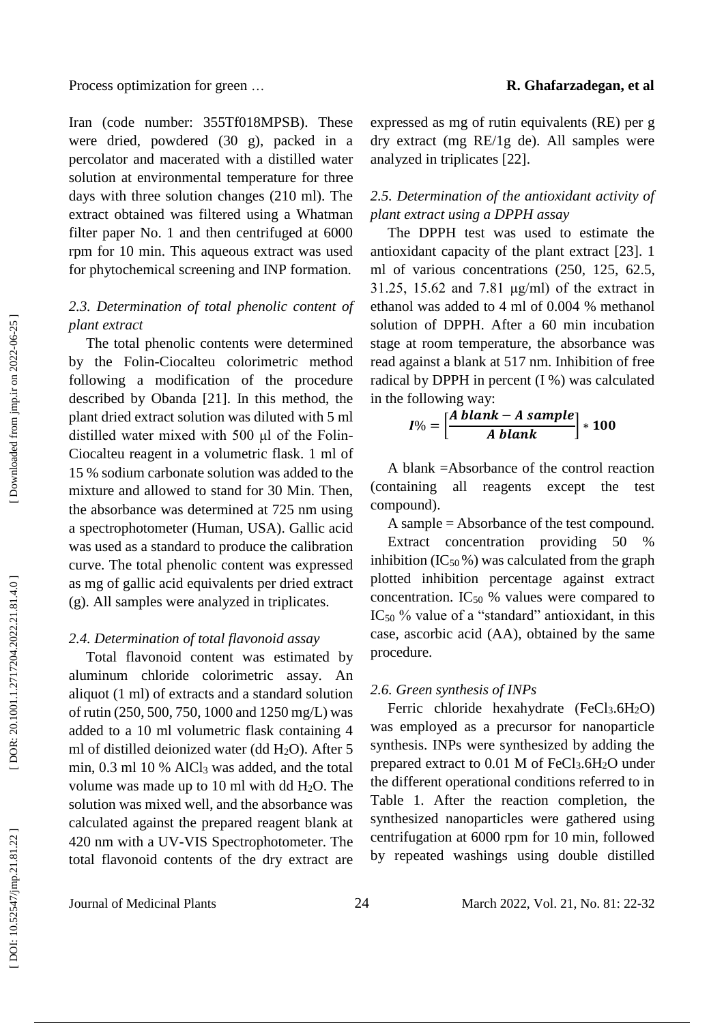Iran (code number: 355Tf018MPSB). These were dried, powdered (30 g), packed in a percolator and macerated with a distilled water solution at environmental temperature for three days with three solution changes (210 ml). The extract obtained was filtered using a Whatman filter paper No. 1 and then centrifuged at 6000 rpm for 10 min. This aqueous extract was used for phytochemical screening and INP formation.

#### *2.3. Determination of total phenolic content of plant extract*

The total phenolic contents were determined by the Folin -Ciocalteu colorimetric method following a modification of the procedure described by Obanda [21]. In this method, the plant dried extract solution was diluted with 5 ml distilled water mixed with 500 μl of the Folin-Ciocalteu reagent in a volumetric flask. 1 ml of 15 % sodium carbonate solution was added to the mixture and allowed to stand for 30 Min. Then, the absorbance was determined at 725 nm using a spectrophotometer (Human, USA). Gallic acid was used as a standard to produce the calibration curve. The total phenolic content was expressed as mg of gallic acid equivalents per dried extract (g). All samples were analyzed in triplicates.

#### *2.4. Determination of total flavonoid assay*

Total flavonoid content was estimated by aluminum chloride colorimetric assay. An aliquot (1 ml) of extracts and a standard solution of rutin (250, 500, 750, 1000 and 1250 mg/L) was added to a 10 ml volumetric flask containing 4 ml of distilled deionized water (dd H <sup>2</sup>O). After 5 min, 0.3 ml 10 % AlCl <sup>3</sup> was added, and the total volume was made up to 10 ml with dd H <sup>2</sup>O. The solution was mixed well, and the absorbance was calculated against the prepared reagent blank at 420 nm with a UV -VIS Spectrophotometer. The total flavonoid contents of the dry extract are

expressed as mg of rutin equivalents (RE) per g dry extract (mg RE/1g de). All samples were analyzed in triplicates [22] .

#### *2.5. Determination of the antioxidant activity of plant extract using a DPPH assay*

The DPPH test was used to estimate the antioxidant capacity of the plant extract [23]. 1 ml of various concentrations (250, 125, 62.5, 31.25, 15.62 and 7.81 μg/ml) of the extract in ethanol was added to 4 ml of 0.004 % methanol solution of DPPH. After a 60 min incubation stage at room temperature, the absorbance was read against a blank at 517 nm. Inhibition of free radical by DPPH in percent (I %) was calculated in the following way:

$$
I\% = \left[\frac{A \; blank - A \; sample}{A \; blank}\right] * 100
$$

A blank =Absorbance of the control reaction (containing all reagents except the test compound).

A sample = Absorbance of the test compound.

Extract concentration providing 50 inhibition (IC $_{50}$ %) was calculated from the graph plotted inhibition percentage against extract concentration. IC<sub>50</sub> % values were compared to  $IC_{50}$  % value of a "standard" antioxidant, in this case, ascorbic acid (AA), obtained by the same procedure.

#### *2.6. Green synthesis of INPs*

Ferric chloride hexahydrate (FeCl<sub>3</sub>.6H<sub>2</sub>O) was employed as a precursor for nanoparticle synthesis. INPs were synthesized by adding the prepared extract to 0.01 M of FeCl 3 .6H <sup>2</sup>O under the different operational conditions referred to in Table 1. After the reaction completion, the synthesized nanoparticles were gathered using centrifugation at 6000 rpm for 10 min, followed by repeated washings using double distilled

Journal of Medicinal Plants 24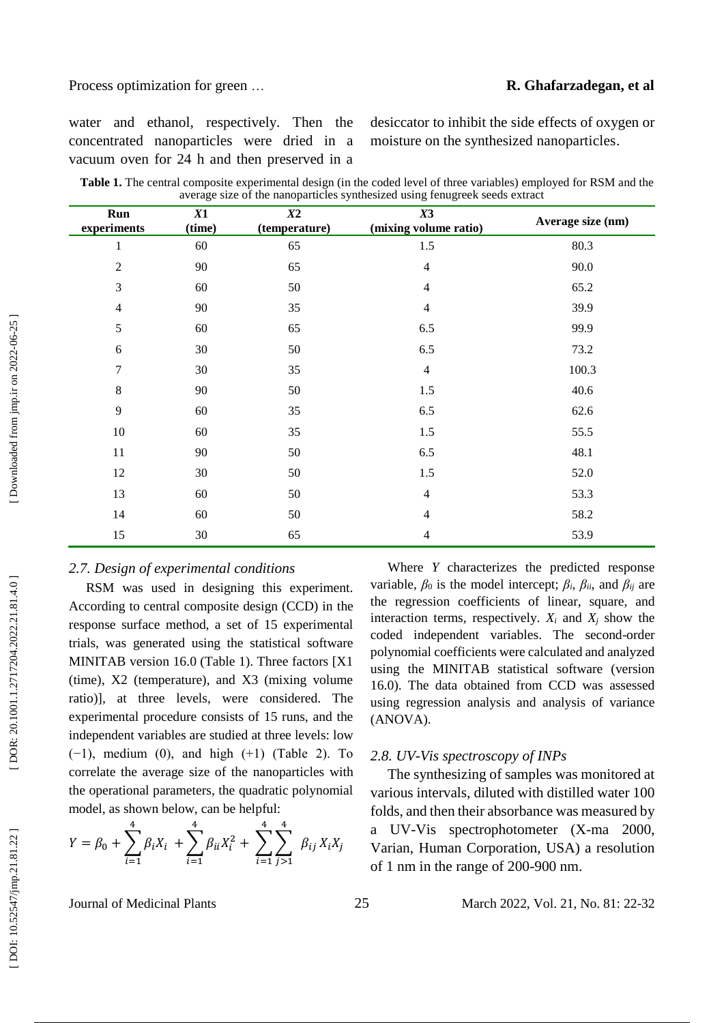#### … **R. Ghafarzadegan, et al**

water and ethanol, respectively. Then the concentrated nanoparticles were dried in a vacuum oven for 24 h and then preserved in a

desiccator to inhibit the side effects of oxygen or moisture on the synthesized nanoparticles .

| Table 1. The central composite experimental design (in the coded level of three variables) employed for RSM and the |  |
|---------------------------------------------------------------------------------------------------------------------|--|
| average size of the nanoparticles synthesized using fenugreek seeds extract                                         |  |

| Run<br>experiments | X1<br>(time) | X2<br>(temperature) | X3<br>(mixing volume ratio) | Average size (nm) |
|--------------------|--------------|---------------------|-----------------------------|-------------------|
| $\mathbf{1}$       | 60           | 65                  | $1.5$                       | 80.3              |
| $\sqrt{2}$         | 90           | 65                  | $\overline{4}$              | 90.0              |
| 3                  | 60           | 50                  | $\overline{4}$              | 65.2              |
| $\overline{4}$     | 90           | 35                  | $\overline{4}$              | 39.9              |
| $\mathfrak s$      | 60           | 65                  | 6.5                         | 99.9              |
| 6                  | $30\,$       | 50                  | 6.5                         | 73.2              |
| 7                  | 30           | 35                  | $\overline{4}$              | 100.3             |
| $\,8\,$            | 90           | 50                  | 1.5                         | 40.6              |
| 9                  | 60           | 35                  | 6.5                         | 62.6              |
| 10                 | 60           | 35                  | 1.5                         | 55.5              |
| 11                 | 90           | 50                  | 6.5                         | 48.1              |
| 12                 | 30           | 50                  | 1.5                         | 52.0              |
| 13                 | $60\,$       | $50\,$              | $\overline{4}$              | 53.3              |
| 14                 | $60\,$       | 50                  | 4                           | 58.2              |
| 15                 | 30           | 65                  | 4                           | 53.9              |

#### *2.7. Design of experimental conditions*

RSM was used in designing this experiment. According to central composite design (CCD) in the response surface method, a set of 15 experimental trials, was generated using the statistical software MINITAB version 16.0 (Table 1). Three factors [X1 (time), X2 (temperature), and X3 (mixing volume ratio)], at three levels, were considered. The experimental procedure consists of 15 runs, and the independent variables are studied at three levels: low (−1), medium (0), and high (+1) (Table 2). To correlate the average size of the nanoparticles with the operational parameters, the quadratic polynomial model, as shown below, can be helpful:

$$
Y = \beta_0 + \sum_{i=1}^{4} \beta_i X_i + \sum_{i=1}^{4} \beta_{ii} X_i^2 + \sum_{i=1}^{4} \sum_{j>1}^{4} \beta_{ij} X_i X_j
$$

Where *Y* characterizes the predicted response variable,  $\beta_0$  is the model intercept;  $\beta_i$ ,  $\beta_{ii}$ , and  $\beta_{ij}$  are the regression coefficients of linear, square, and interaction terms, respectively.  $X_i$  and  $X_j$  show the coded independent variables. The second -order polynomial coefficients were calculated and analyzed using the MINITAB statistical software (version 16.0). The data obtained from CCD was assessed using regression analysis and analysis of variance (ANOVA).

#### *2.8. UV-Vis spectroscopy of INPs*

The synthesizing of samples was monitored at various intervals, diluted with distilled water 100 folds, and then their absorbance was measured by a UV -Vis spectrophotometer (X -ma 2000, Varian, Human Corporation, USA) a resolution of 1 nm in the range of 200 -900 nm.

Journal of Medicinal Plants 25

#### 2, Vol. 21, No. 81: 22 -32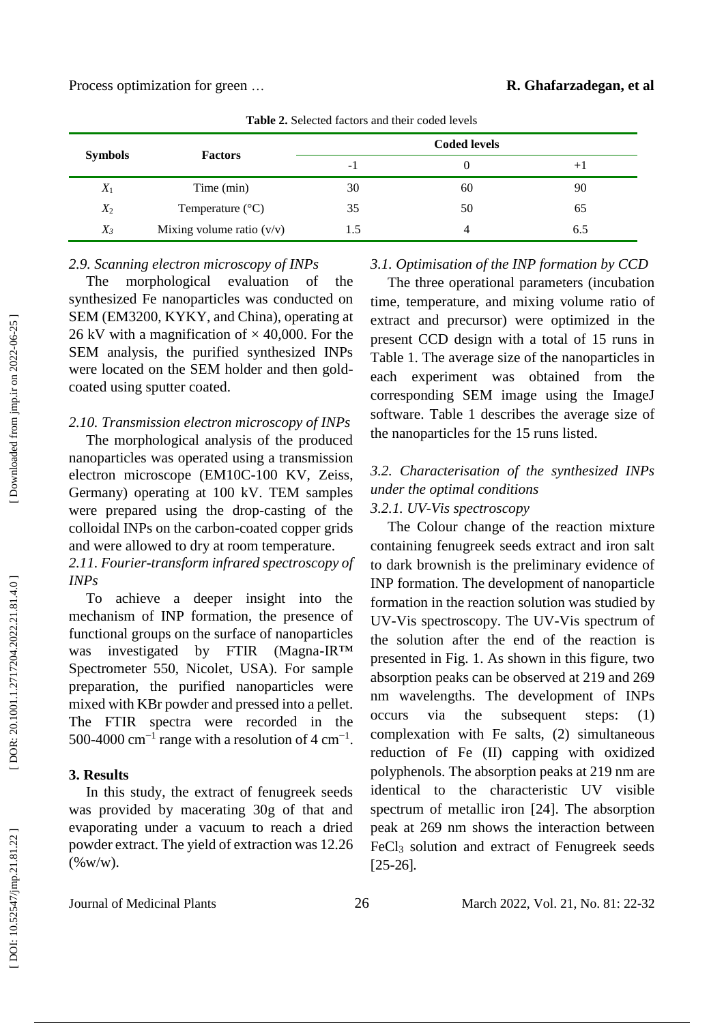| <b>Symbols</b> | <b>Factors</b>              | <b>Coded levels</b> |    |      |  |
|----------------|-----------------------------|---------------------|----|------|--|
|                |                             | - 1                 |    | $+1$ |  |
| $X_1$          | Time (min)                  | 30                  | 60 | 90   |  |
| $X_2$          | Temperature $(^{\circ}C)$   | 35                  | 50 | 65   |  |
| $X_3$          | Mixing volume ratio $(v/v)$ | د. ا                |    | 6.5  |  |

**Table 2.** Selected factors and their coded levels

#### *2.9. Scanning electron microscopy of INPs*

*2.10. Transmission electron microscopy of INPs*

nanoparticles was operated using a transmission electron microscope (EM10C -100 KV, Zeiss, Germany) operating at 100 kV. TEM samples were prepared using the drop -casting of the colloidal INPs on the carbon -coated copper grids and were allowed to dry at room temperature. *2.11. Fourier -transform infrared spectroscopy of* 

To achieve a deeper insight into the mechanism of INP formation, the presence of functional groups on the surface of nanoparticles

Spectrometer 550, Nicolet, USA). For sample preparation, the purified nanoparticles were mixed with KBr powder and pressed into a pellet. The FTIR spectra were recorded in the 500-4000  $\text{cm}^{-1}$  range with a resolution of 4  $\text{cm}^{-1}$ .

In this study, the extract of fenugreek seeds was provided by macerating 30g of that and evaporating under a vacuum to reach a dried powder extract. The yield of extraction was 12.26

was investigated by FTIR

coated using sputter coated.

 [\[ DOI: 10.52547/jmp.21.81.22 \]](http://dx.doi.org/10.52547/jmp.21.81.22) [\[ DOR: 20.1001.1.2717204.2022.21.81.4.0](https://dorl.net/dor/20.1001.1.2717204.2022.21.81.4.0) ] [\[ Downloaded from jmp.ir on 2022-06-25 \]](https://jmp.ir/article-1-3200-fa.html) Downloaded from jmp.ir on 2022-06-25

*INPs*

**3. Results**

 $(\%w/w)$ .

#### The morphological evaluation of the synthesized Fe nanoparticles was conducted on SEM (EM3200, KYKY, and China), operating at 26 kV with a magnification of  $\times$  40,000. For the SEM analysis, the purified synthesized INPs were located on the SEM holder and then gold - The three operational parameters (incubation time, temperature, and mixing volume ratio of extract and precursor) were optimized in the present CCD design with a total of 15 runs in

#### The morphological analysis of the produced Table 1. The average size of the nanoparticles in each experiment was obtained from the corresponding SEM image using the ImageJ software. Table 1 describes the average size of the nanoparticles for the 15 runs listed.

*3.1. Optimisation of the INP formation by CCD*

#### *3.2. Characterisation of the synthesized INPs under the optimal conditions 3.2.1 . UV-Vis spectroscopy*

The Colour change of the reaction mixture containing fenugreek seeds extract and iron salt to dark brownish is the preliminary evidence of INP formation. The development of nanoparticle formation in the reaction solution was studied by UV -Vis spectroscopy. The UV -Vis spectrum of the solution after the end of the reaction is presented in Fig. 1. As shown in this figure, two absorption peaks can be observed at 219 and 269 nm wavelengths. The development of INPs occurs via the subsequent steps: (1) complexation with Fe salts, (2) simultaneous reduction of Fe (II) capping with oxidized polyphenols. The absorption peaks at 219 nm are identical to the characteristic UV visible spectrum of metallic iron [24]. The absorption peak at 269 nm shows the interaction between FeCl <sup>3</sup> solution and extract of Fenugreek seeds [25 -26] .

Journal of Medicinal Plants 26

 $(Magna-IR<sup>TM</sup>)$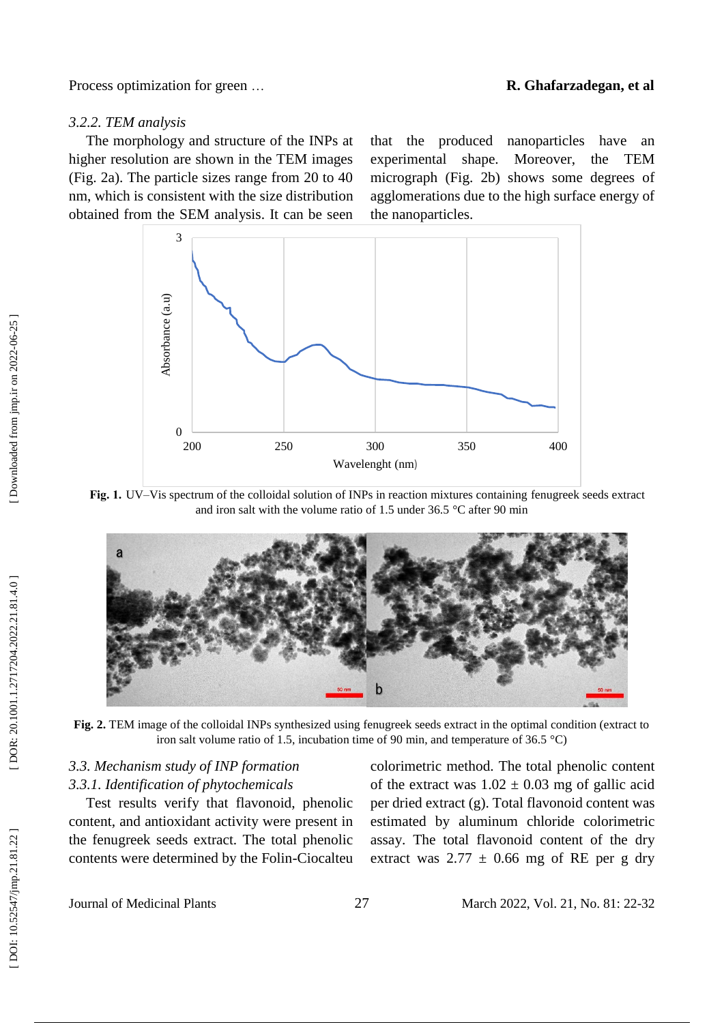#### … **R. Ghafarzadegan, et al**

#### *3.2.2. TEM analysis*

The morphology and structure of the INPs at higher resolution are shown in the TEM images (Fig. 2a). The particle sizes range from 20 to 40 nm, which is consistent with the size distribution obtained from the SEM analysis. It can be seen

that the produced nanoparticles have an experimental shape. Moreover, the TEM micrograph (Fig. 2b) shows some degrees of agglomerations due to the high surface energy of the nanoparticles .



Fig. 1. UV–Vis spectrum of the colloidal solution of INPs in reaction mixtures containing fenugreek seeds extract and iron salt with the volume ratio of 1.5 under 36.5 °C after 90 min



**Fig. 2.** TEM image of the colloidal INPs synthesized using fenugreek seeds extract in the optimal condition (extract to iron salt volume ratio of 1.5, incubation time of 90 min, and temperature of 36.5 °C)

#### *3.3. Mechanism study of INP formation 3.3.1. Identification of phytochemicals*

Test results verify that flavonoid, phenolic content, and antioxidant activity were present in the fenugreek seeds extract. The total phenolic contents were determined by the Folin -Ciocalteu colorimetric method. The total phenolic content of the extract was  $1.02 \pm 0.03$  mg of gallic acid per dried extract (g). Total flavonoid content was estimated by aluminum chloride colorimetric assay. The total flavonoid content of the dry extract was  $2.77 \pm 0.66$  mg of RE per g dry

Journal of Medicinal Plants 27

2, Vol. 21, No. 81: 22 -32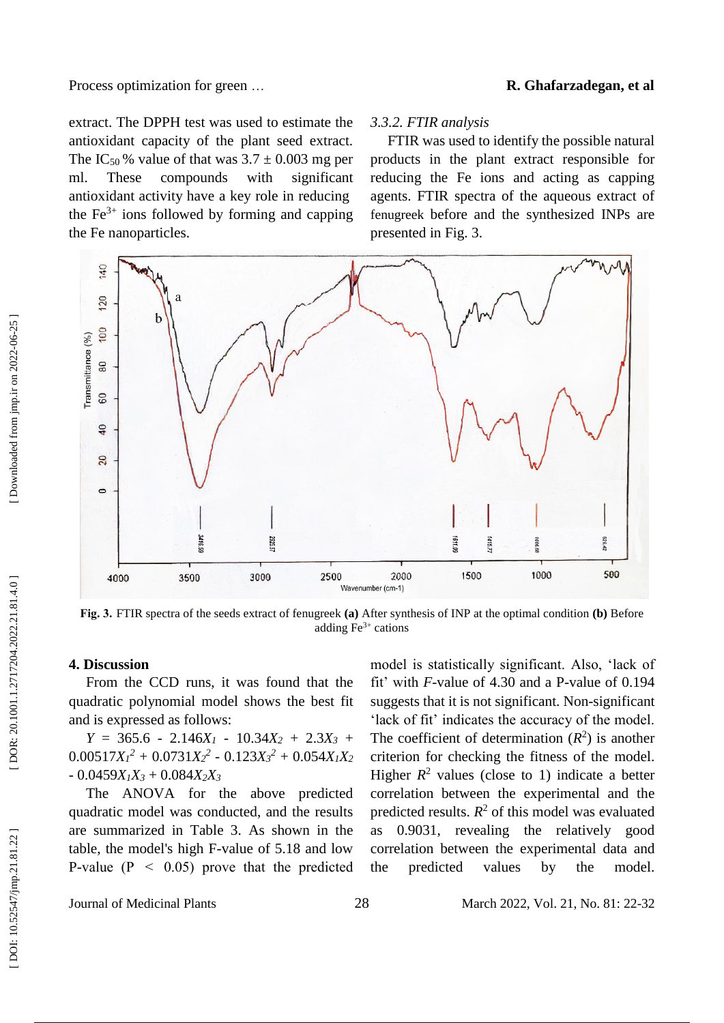#### … **R. Ghafarzadegan, et al**

extract. The DPPH test was used to estimate the antioxidant capacity of the plant seed extract. The IC<sub>50</sub>% value of that was  $3.7 \pm 0.003$  mg per ml. These compounds with significant antioxidant activity have a key role in reducing the  $Fe<sup>3+</sup>$  ions followed by forming and capping the Fe nanoparticles .

#### *3.3.2. FTIR analysis*

FTIR was used to identify the possible natural products in the plant extract responsible for reducing the Fe ions and acting as capping agents. FTIR spectra of the aqueous extract of fenugreek before and the synthesized INPs are presented in Fig. 3.



**Fig. 3.**FTIR spectra of the seeds extract of fenugreek **(a)** After synthesis of INP at the optimal condition **(b)** Before adding  $Fe<sup>3+</sup>$  cations

#### **4. Discussion**

From the CCD runs, it was found that the quadratic polynomial model shows the best fit and is expressed as follows:

 $Y = 365.6 - 2.146X_1 - 10.34X_2 + 2.3X_3 +$  $0.00517X_1^2 + 0.0731X_2^2 - 0.123X_3^2 + 0.054X_1X_2$  $-0.0459X_1X_3 + 0.084X_2X_3$ 

The ANOVA for the above predicted quadratic model was conducted, and the results are summarized in Table 3. As shown in the table, the model's high F -value of 5.18 and low P-value ( $P \leq 0.05$ ) prove that the predicted model is statistically significant. Also, 'lack of fit' with *F*-value of 4.30 and a P-value of 0.194 suggests that it is not significant. Non -significant 'lack of fit' indicates the accuracy of the model. The coefficient of determination  $(R^2)$  is another criterion for checking the fitness of the model. Higher  $R^2$  values (close to 1) indicate a better correlation between the experimental and the predicted results.  $R^2$  of this model was evaluated as 0.9031, revealing the relatively good correlation between the experimental data and the predicted values by the model.

Journal of Medicinal Plants 28

2, Vol. 21, No. 81: 22 -32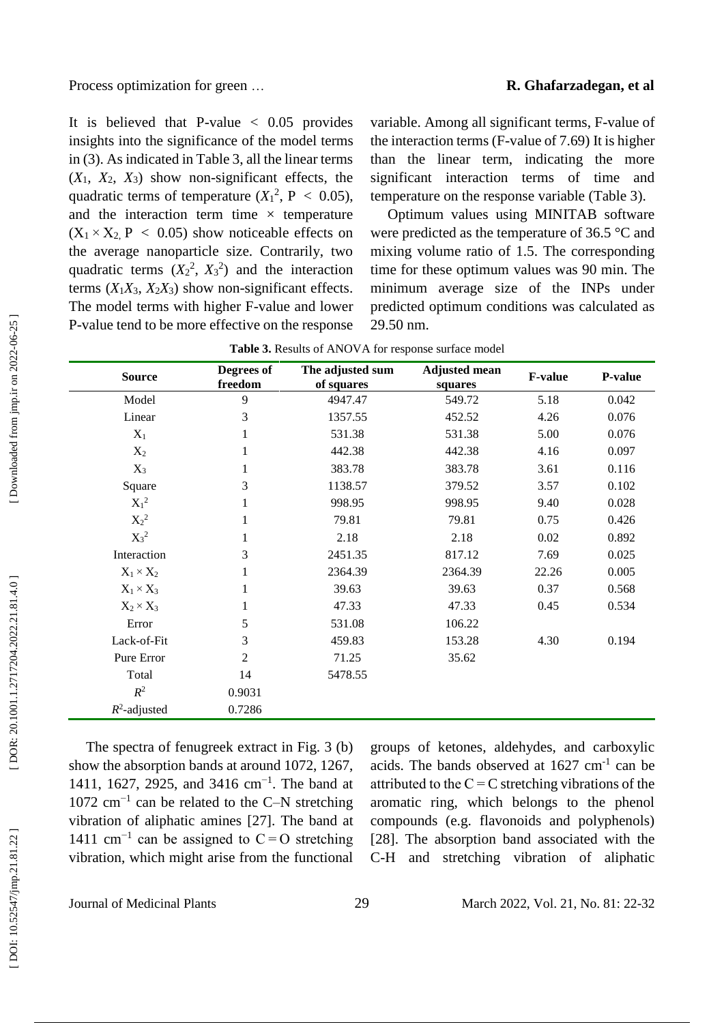#### … **R. Ghafarzadegan, et al**

It is believed that P-value  $< 0.05$  provides insights into the significance of the model terms in (3). As indicated in Table 3, all the linear terms  $(X_1, X_2, X_3)$  show non-significant effects, the quadratic terms of temperature  $(X_1^2, P < 0.05)$ , and the interaction term time  $\times$  temperature  $(X_1 \times X_2, P \le 0.05)$  show noticeable effects on the average nanoparticle size. Contrarily, two quadratic terms  $(X_2^2, X_3^2)$  and the interaction terms  $(X_1X_3, X_2X_3)$  show non-significant effects. The model terms with higher F -value and lower P -value tend to be more effective on the response variable. Among all significant terms, F -value of the interaction terms (F -value of 7.69) It is higher than the linear term, indicating the more significant interaction terms of time and temperature on the response variable (Table 3).

Optimum values using MINITAB software were predicted as the temperature of 36.5 °C and mixing volume ratio of 1.5. The corresponding time for these optimum values was 90 min. The minimum average size of the INPs under predicted optimum conditions was calculated as 29.50 nm.

| <b>Source</b>    | Degrees of<br>freedom | The adjusted sum<br>of squares | <b>Adjusted mean</b><br>squares | <b>F-value</b> | P-value |
|------------------|-----------------------|--------------------------------|---------------------------------|----------------|---------|
| Model            | 9                     | 4947.47                        | 549.72                          | 5.18           | 0.042   |
| Linear           | 3                     | 1357.55                        | 452.52                          | 4.26           | 0.076   |
| $X_1$            | 1                     | 531.38                         | 531.38                          | 5.00           | 0.076   |
| $X_2$            | 1                     | 442.38                         | 442.38                          | 4.16           | 0.097   |
| $X_3$            |                       | 383.78                         | 383.78                          | 3.61           | 0.116   |
| Square           | 3                     | 1138.57                        | 379.52                          | 3.57           | 0.102   |
| $X_1^2$          | 1                     | 998.95                         | 998.95                          | 9.40           | 0.028   |
| $X_2^2$          |                       | 79.81                          | 79.81                           | 0.75           | 0.426   |
| $X_3^2$          |                       | 2.18                           | 2.18                            | 0.02           | 0.892   |
| Interaction      | 3                     | 2451.35                        | 817.12                          | 7.69           | 0.025   |
| $X_1 \times X_2$ |                       | 2364.39                        | 2364.39                         | 22.26          | 0.005   |
| $X_1 \times X_3$ | 1                     | 39.63                          | 39.63                           | 0.37           | 0.568   |
| $X_2 \times X_3$ | 1                     | 47.33                          | 47.33                           | 0.45           | 0.534   |
| Error            | 5                     | 531.08                         | 106.22                          |                |         |
| Lack-of-Fit      | 3                     | 459.83                         | 153.28                          | 4.30           | 0.194   |
| Pure Error       | 2                     | 71.25                          | 35.62                           |                |         |
| Total            | 14                    | 5478.55                        |                                 |                |         |
| $R^2$            | 0.9031                |                                |                                 |                |         |
| $R^2$ -adjusted  | 0.7286                |                                |                                 |                |         |

The spectra of fenugreek extract in Fig. 3 (b) show the absorption bands at around 1072, 1267, 1411, 1627, 2925, and 3416 cm<sup>-1</sup>. The band at  $1072$  cm<sup>-1</sup> can be related to the C-N stretching vibration of aliphatic amines [27]. The band at 1411 cm<sup>-1</sup> can be assigned to  $C = O$  stretching vibration, which might arise from the functional

groups of ketones, aldehydes, and carboxylic acids. The bands observed at 1627 cm - 1 can be attributed to the  $C = C$  stretching vibrations of the aromatic ring, which belongs to the phenol compounds (e.g. flavonoids and polyphenols) [28]. The absorption band associated with the C-H and stretching vibration of aliphatic

Journal of Medicinal Plants 29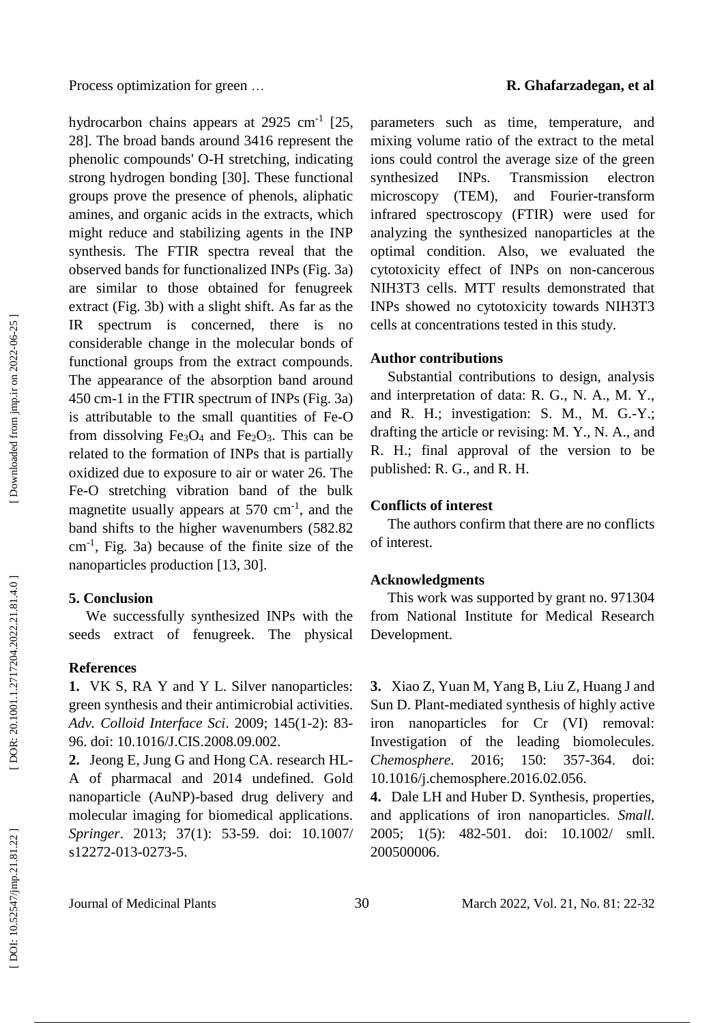hydrocarbon chains appears at  $2925 \text{ cm}^{-1}$  [25, 28]. The broad bands around 3416 represent the phenolic compounds' O -H stretching, indicating strong hydrogen bonding [30]. These functional groups prove the presence of phenols, aliphatic amines, and organic acids in the extracts, which might reduce and stabilizing agents in the INP synthesis. The FTIR spectra reveal that the observed bands for functionalized INPs (Fig. 3a) are similar to those obtained for fenugreek extract (Fig. 3b) with a slight shift. As far as the IR spectrum is concerned, there is no considerable change in the molecular bonds of functional groups from the extract compounds. The appearance of the absorption band around 450 cm -1 in the FTIR spectrum of INPs (Fig. 3a) is attributable to the small quantities of Fe -O from dissolving  $Fe<sub>3</sub>O<sub>4</sub>$  and  $Fe<sub>2</sub>O<sub>3</sub>$ . This can be related to the formation of INPs that is partially oxidized due to exposure to air or water 26. The Fe -O stretching vibration band of the bulk magnetite usually appears at 570 cm<sup>-1</sup>, and the band shifts to the higher wavenumbers (582.82 cm - 1 , Fig. 3a) because of the finite size of the nanoparticles production [13, 30] .

#### **5. Conclusion**

We successfully synthesized INPs with the seeds extract of fenugreek. The physical

#### **References**

**1.** VK S, RA Y and Y L. Silver nanoparticles: green synthesis and their antimicrobial activities. *Adv. Colloid Interface Sci*. 2009; 145(1 -2): 83 - 96. doi: 10.1016/J.CIS.2008.09.002.

**2.** Jeong E, Jung G and Hong CA. research HL - A of pharmacal and 2014 undefined. Gold nanoparticle (AuNP) -based drug delivery and molecular imaging for biomedical applications. *Springer*. 2013; 37(1): 53 -59. doi: 10.1007/ s12272-013-0273-5.

parameters such as time, temperature, and mixing volume ratio of the extract to the metal ions could control the average size of the green synthesized INPs. Transmission electron microscopy (TEM), and Fourier -transform infrared spectroscopy (FTIR) were used for analyzing the synthesized nanoparticles at the optimal condition. Also, we evaluated the cytotoxicity effect of INPs on non -cancerous NIH3T3 cells. MTT results demonstrated that INPs showed no cytotoxicity towards NIH3T3 cells at concentrations tested in this study.

#### **Author contributions**

Substantial contributions to design, analysis and interpretation of data: R. G., N. A., M. Y., and R. H.; investigation: S. M., M. G. -Y.; drafting the article or revising: M. Y., N. A., and R. H.; final approval of the version to be published: R. G., and R. H.

#### **Conflicts of interest**

The authors confirm that there are no conflicts of interest.

#### **Acknowledgments**

This work was supported by grant no. 971304 from National Institute for Medical Research Development.

**3 .** Xiao Z, Yuan M, Yang B, Liu Z, Huang J and Sun D. Plant -mediated synthesis of highly active iron nanoparticles for Cr (VI) removal: Investigation of the leading biomolecules. *Chemosphere.* 2016; 150: -364. doi: 10.1016/j.chemosphere.2016.02.056.

**4.** Dale LH and Huber D. Synthesis, properties, and applications of iron nanoparticles. *Small.* 2005; 1(5): 482 -501. doi: 10.1002/ smll. 200500006.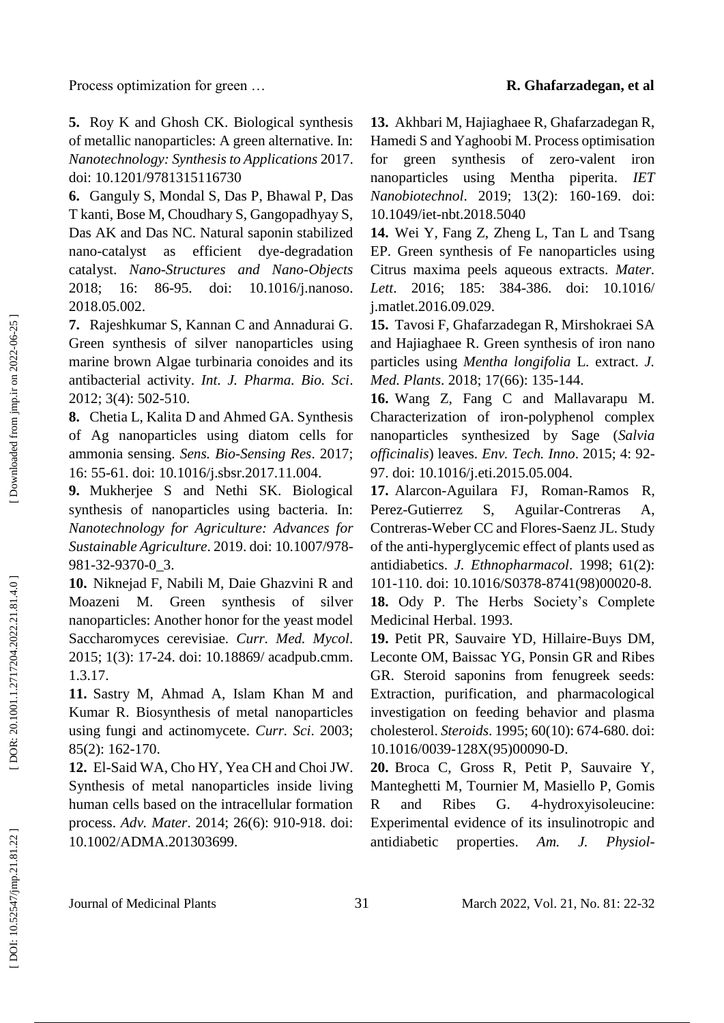**5 .** Roy K and Ghosh CK. Biological synthesis of metallic nanoparticles: A green alternative. In: *Nanotechnology: Synthesis to Applications* 2017. doi: 10.1201/9781315116730

**6.** Ganguly S, Mondal S, Das P, Bhawal P, Das T kanti, Bose M, Choudhary S, Gangopadhyay S, Das AK and Das NC. Natural saponin stabilized nano as efficient dye-degradation catalyst. *Nano -Structures and Nano -Objects* 2018; 16: 86 doi: 10.1016/j.nanoso. 2018.05.002.

**7.** Rajeshkumar S, Kannan C and Annadurai G. Green synthesis of silver nanoparticles using marine brown Algae turbinaria conoides and its antibacterial activity. *Int. J. Pharma. Bio. Sci*. 2012; 3(4): 502 -510.

**8 .** Chetia L, Kalita D and Ahmed GA. Synthesis of Ag nanoparticles using diatom cells for ammonia sensing. *Sens. Bio -Sensing Res*. 2017; 16: 55 -61. doi: 10.1016/j.sbsr.2017.11.004.

**9 .** Mukherjee S and Nethi SK. Biological synthesis of nanoparticles using bacteria. In: *Nanotechnology for Agriculture: Advances for Sustainable Agriculture*. 2019. doi: 10.1007/978 - 981 -32 -9370 -0\_3.

**10 .** Niknejad F, Nabili M, Daie Ghazvini R and Moazeni M. Green synthesis of silver nanoparticles: Another honor for the yeast model Saccharomyces cerevisiae. *Curr. Med. Mycol*. 2015; 1(3): 17 -24. doi: 10.18869/ acadpub.cmm. 1.3.17.

**11 .** Sastry M, Ahmad A, Islam Khan M and Kumar R. Biosynthesis of metal nanoparticles using fungi and actinomycete. *Curr. Sci*. 2003; 85(2): 162 -170.

**12 .** El -Said WA, Cho HY, Yea CH and Choi JW. Synthesis of metal nanoparticles inside living human cells based on the intracellular formation process. *Adv. Mater*. 2014; 26(6): 910 -918. doi: 10.1002/ADMA.201303699.

**13 .** Akhbari M, Hajiaghaee R, Ghafarzadegan R, Hamedi S and Yaghoobi M. Process optimisation for green synthesis of zero-valent iron nanoparticles using Mentha piperita. *IET Nanobiotechnol*. 2019; 13(2): 160 -169. doi: 10.1049/iet -nbt.2018.5040

**14 .** Wei Y, Fang Z, Zheng L, Tan L and Tsang EP. Green synthesis of Fe nanoparticles using Citrus maxima peels aqueous extracts. *Mater. Lett*. 2016; 185: 384 doi: 10.1016/ j.matlet.2016.09.029.

**15 .** Tavosi F, Ghafarzadegan R, Mirshokraei SA and Hajiaghaee R. Green synthesis of iron nano particles using *Mentha longifolia* L. extract. *J. Med. Plants*. 2018; 17(66): 135 -144.

**16 .** Wang Z, Fang C and Mallavarapu M. Characterization of iron -polyphenol complex nanoparticles synthesized by Sage (*Salvia officinalis*) leaves. *Env. Tech. Inno*. 2015; 4: 92 - 97. doi: 10.1016/j.eti.2015.05.004.

**17 .** Alarcon -Aguilara FJ, Roman -Ramos R, Perez -Gutierrez S, Aguilar Aguilar-Contreras A, Contreras -Weber CC and Flores -Saenz JL. Study of the anti -hyperglycemic effect of plants used as antidiabetics. *J. Ethnopharmacol*. 1998; 61(2): 101 -110. doi: 10.1016/S0378 -8741(98)00020 -8.

**18 .** Ody P. The Herbs Society's Complete Medicinal Herbal. 1993 .

**19 .** Petit PR, Sauvaire YD, Hillaire -Buys DM, Leconte OM, Baissac YG, Ponsin GR and Ribes GR. Steroid saponins from fenugreek seeds: Extraction, purification, and pharmacological investigation on feeding behavior and plasma cholesterol. *Steroids*. 1995; 60(10): 674 -680. doi: 10.1016/0039 -128X(95)00090 -D.

**20 .** Broca C, Gross R, Petit P, Sauvaire Y, Manteghetti M, Tournier M, Masiello P, Gomis R and Ribes G. -hydroxyisoleucine: Experimental evidence of its insulinotropic and antidiabetic properties. Am. J. *-*

Downloaded from jmp.ir on 2022-06-25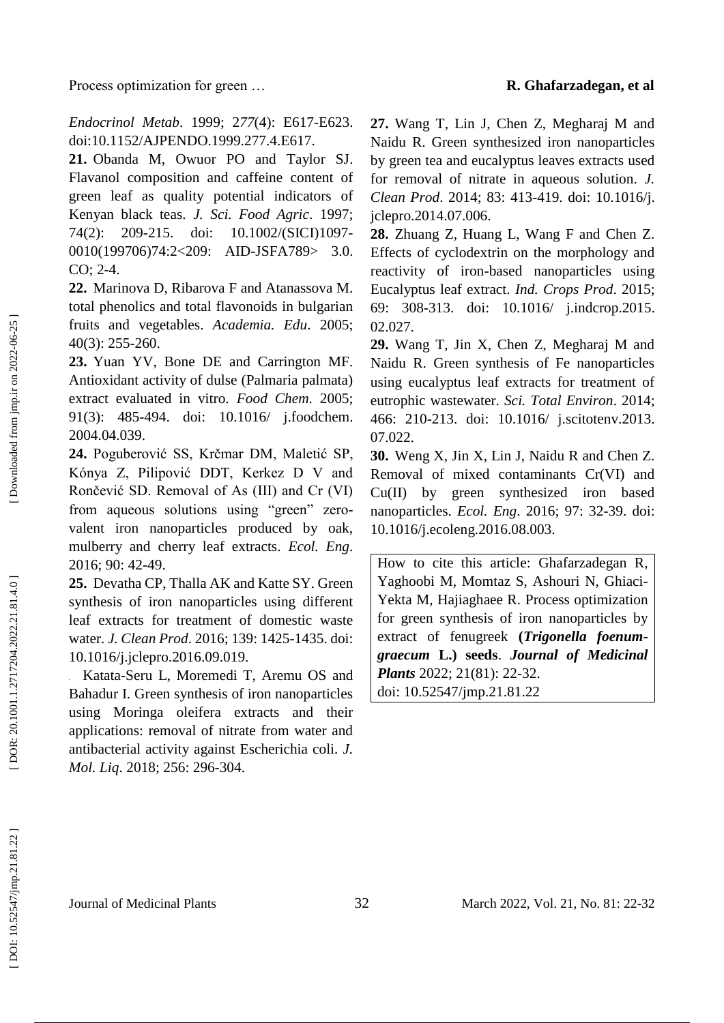*Endocrinol Metab*. 1999; 2*77*(4): E617 -E623. doi:10.1152/AJPENDO.1999.277.4.E617.

**21 .** Obanda M, Owuor PO and Taylor SJ. Flavanol composition and caffeine content of green leaf as quality potential indicators of Kenyan black teas. *J. Sci. Food Agric*. 1997; 74(2): 209 -215. doi: 10.1002/(SICI)1097-0010(199706)74:2<209: AID-JSFA789> 3.0. CO; 2-4.

**22 .** Marinova D, Ribarova F and Atanassova M. total phenolics and total flavonoids in bulgarian fruits and vegetables. *Academia. Edu*. 2005; 40(3): 255 -260.

**23 .** Yuan YV, Bone DE and Carrington MF. Antioxidant activity of dulse (Palmaria palmata) extract evaluated in vitro. *Food Chem*. 2005; 91(3): 485 -494. doi: 10.1016/ j.foodchem. 2004.04.039.

**24 .** Poguberović SS, Krčmar DM, Maletić SP, Kónya Z, Pilipović DDT, Kerkez D V and Rončević SD. Removal of As (III) and Cr (VI) from aqueous solutions using "green" zerovalent iron nanoparticles produced by oak, mulberry and cherry leaf extracts. *Ecol . Eng*. 2016; 90: 42 -49.

**25 .** Devatha CP, Thalla AK and Katte SY. Green synthesis of iron nanoparticles using different leaf extracts for treatment of domestic waste water. *J. Clean Prod*. 2016; 139: 1425 -1435. doi: 10.1016/j.jclepro.2016.09.019.

**.** Katata -Seru L, Moremedi T, Aremu OS and Bahadur I. Green synthesis of iron nanoparticles using Moringa oleifera extracts and their applications: removal of nitrate from water and antibacterial activity against Escherichia coli. *J. Mol. Liq*. 2018; 256: 296 -304.

**27 .** Wang T, Lin J, Chen Z, Megharaj M and Naidu R. Green synthesized iron nanoparticles by green tea and eucalyptus leaves extracts used for removal of nitrate in aqueous solution. *J. Clean Prod*. 2014; 83: 413 -419. doi: 10.1016/j. jclepro.2014.07.006.

**28 .** Zhuang Z, Huang L, Wang F and Chen Z. Effects of cyclodextrin on the morphology and reactivity of iron -based nanoparticles using Eucalyptus leaf extract. *Ind. Crops Prod*. 2015; 69: 308 -313. doi: 10.1016/ j.indcrop.2015. 02.027.

**29 .** Wang T, Jin X, Chen Z, Megharaj M and Naidu R. Green synthesis of Fe nanoparticles using eucalyptus leaf extracts for treatment of eutrophic wastewater. *Sci. Total Environ*. 2014; 466: 210 -213. doi: 10.1016/ j.scitotenv.2013. 07.022.

**30 .** Weng X, Jin X, Lin J, Naidu R and Chen Z. Removal of mixed contaminants Cr(VI) and Cu(II) by green synthesized iron based nanoparticles. *Ecol. Eng*. 2016; 97: 32 -39. doi: 10.1016/j.ecoleng.2016.08.003.

How to cite this article: Ghafarzadegan R, Yaghoobi M, Momtaz S, Ashouri N, Ghiaci - Yekta M, Hajiaghaee R . Process optimization for green synthesis of iron nanoparticles by extract of fenugreek **(***Trigonella foenum graecum* **L.) seeds** . *Journal of Medicinal*  Plants 2022; 21(81): 22-32. doi: 10.52547/jmp.21.81.22